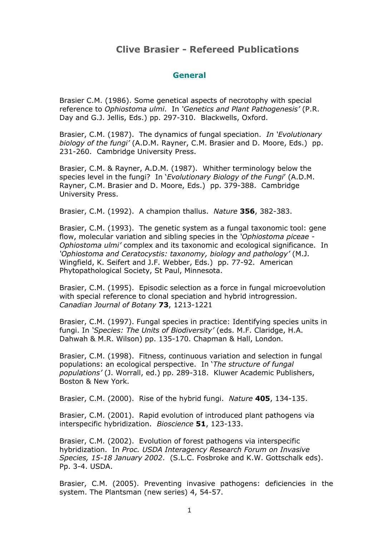# **Clive Brasier - Refereed Publications**

#### **General**

Brasier C.M. (1986). Some genetical aspects of necrotophy with special reference to *Ophiostoma ulmi*. In *'Genetics and Plant Pathogenesis'* (P.R. Day and G.J. Jellis, Eds.) pp. 297-310. Blackwells, Oxford.

Brasier, C.M. (1987). The dynamics of fungal speciation. *In 'Evolutionary biology of the fungi'* (A.D.M. Rayner, C.M. Brasier and D. Moore, Eds.) pp. 231-260. Cambridge University Press.

Brasier, C.M. & Rayner, A.D.M. (1987). Whither terminology below the species level in the fungi? In '*Evolutionary Biology of the Fungi*' (A.D.M. Rayner, C.M. Brasier and D. Moore, Eds.) pp. 379-388. Cambridge University Press.

Brasier, C.M. (1992). A champion thallus. *Nature* **356**, 382-383.

Brasier, C.M. (1993). The genetic system as a fungal taxonomic tool: gene flow, molecular variation and sibling species in the *'Ophiostoma piceae - Ophiostoma ulmi'* complex and its taxonomic and ecological significance. In *'Ophiostoma and Ceratocystis: taxonomy, biology and pathology'* (M.J. Wingfield, K. Seifert and J.F. Webber, Eds.) pp. 77-92. American Phytopathological Society, St Paul, Minnesota.

Brasier, C.M. (1995). Episodic selection as a force in fungal microevolution with special reference to clonal speciation and hybrid introgression. *Canadian Journal of Botany* **73**, 1213-1221

Brasier, C.M. (1997). Fungal species in practice: Identifying species units in fungi. In *'Species: The Units of Biodiversity'* (eds. M.F. Claridge, H.A. Dahwah & M.R. Wilson) pp. 135-170. Chapman & Hall, London.

Brasier, C.M. (1998). Fitness, continuous variation and selection in fungal populations: an ecological perspective. In '*The structure of fungal populations'* (J. Worrall, ed.) pp. 289-318. Kluwer Academic Publishers, Boston & New York.

Brasier, C.M. (2000). Rise of the hybrid fungi. *Nature* **405**, 134-135.

Brasier, C.M. (2001). Rapid evolution of introduced plant pathogens via interspecific hybridization. *Bioscience* **51**, 123-133.

Brasier, C.M. (2002). Evolution of forest pathogens via interspecific hybridization. In *Proc. USDA Interagency Research Forum on Invasive Species, 15-18 January 2002*. (S.L.C. Fosbroke and K.W. Gottschalk eds). Pp. 3-4. USDA.

Brasier, C.M. (2005). Preventing invasive pathogens: deficiencies in the system. The Plantsman (new series) 4, 54-57.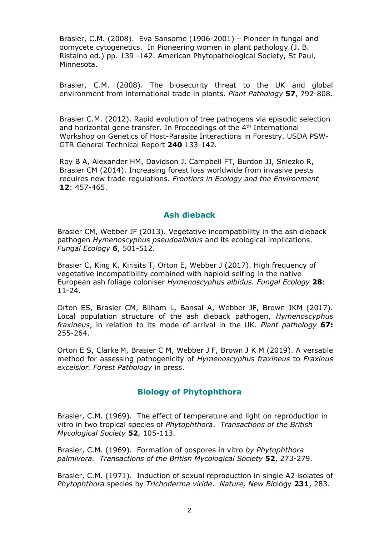Brasier, C.M. (2008). Eva Sansome (1906-2001) – Pioneer in fungal and oomycete cytogenetics. In Pioneering women in plant pathology (J. B. Ristaino ed.) pp. 139 -142. American Phytopathological Society, St Paul, Minnesota.

Brasier, C.M. (2008). The biosecurity threat to the UK and global environment from international trade in plants. *Plant Pathology* **57**, 792-808.

Brasier C.M. (2012). Rapid evolution of tree pathogens via episodic selection and horizontal gene transfer. In Proceedings of the  $4<sup>th</sup>$  International Workshop on Genetics of Host-Parasite Interactions in Forestry. USDA PSW-GTR General Technical Report **240** 133-142.

Roy B A, Alexander HM, Davidson J, Campbell FT, Burdon JJ, Sniezko R, Brasier CM (2014). Increasing forest loss worldwide from invasive pests requires new trade regulations. *Frontiers in Ecology and the Environment* **12**: 457-465.

#### **Ash dieback**

Brasier CM, Webber JF (2013). Vegetative incompatibility in the ash dieback pathogen *Hymenoscyphus pseudoalbidus* and its ecological implications. *Fungal Ecology* **6**, 501-512.

Brasier C, King K, Kirisits T, Orton E, Webber J (2017). High frequency of vegetative incompatibility combined with haploid selfing in the native European ash foliage coloniser *Hymenoscyphus albidus. Fungal Ecology* **28**: 11-24.

Orton ES, Brasier CM, Bilham L, Bansal A, Webber JF, Brown JKM (2017). Local population structure of the ash dieback pathogen, *Hymenoscyphus fraxineus*, in relation to its mode of arrival in the UK. *Plant pathology* **67:**  255-264.

Orton E S, Clarke M, Brasier C M, Webber J F, Brown J K M (2019). A versatile method for assessing pathogenicity of *Hymenoscyphus fraxineus* to *Fraxinus excelsior. Forest Pathology* in press.

# **Biology of Phytophthora**

Brasier, C.M. (1969). The effect of temperature and light on reproduction in vitro in two tropical species of *Phytophthora*. *Transactions of the British Mycological Society* **52**, 105-113.

Brasier, C.M. (1969). Formation of oospores in vitro *by Phytophthora palmivora. Transactions of the British Mycological Society* **52**, 273-279.

Brasier, C.M. (1971). Induction of sexual reproduction in single A2 isolates of *Phytophthora* species by *Trichoderma viride*. *Nature, New Bi*ology **231**, 283.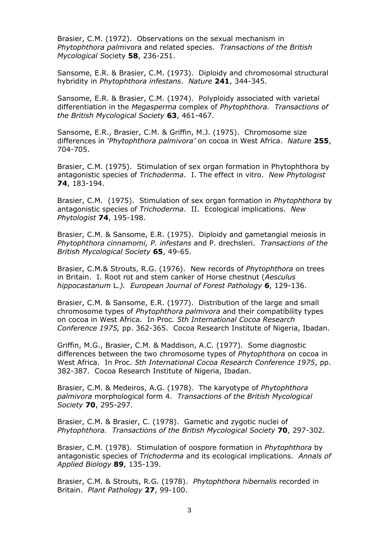Brasier, C.M. (1972). Observations on the sexual mechanism in *Phytophthora palm*ivora and related species. *Transactions of the British Mycological S*ociety **58**, 236-251.

Sansome, E.R. & Brasier, C.M. (1973). Diploidy and chromosomal structural hybridity in *Phytophthora infestans*. *Nature* **241**, 344-345.

Sansome, E.R. & Brasier, C.M. (1974). Polyploidy associated with varietal differentiation in the *Megasperma* complex of *Phytophthora. Transactions of the British Mycological Society* **63**, 461-467.

Sansome, E.R., Brasier, C.M. & Griffin, M.J. (1975). Chromosome size differences in *'Phytophthora palmivora'* on cocoa in West Africa. *Nature* **255**, 704-705.

Brasier, C.M. (1975). Stimulation of sex organ formation in Phytophthora by antagonistic species of *Trichoderma*. I. The effect in vitro. *New Phytologist* **74**, 183-194.

Brasier, C.M. (1975). Stimulation of sex organ formation in *Phytophthora* by antagonistic species of *Trichoderma*. II. Ecological implications. *New Phytologist* **74**, 195-198.

Brasier, C.M. & Sansome, E.R. (1975). Diploidy and gametangial meiosis in *Phytophthora cinnamomi, P. infestans* and P. drechsleri. *Transactions of the British Mycological Society* **65**, 49-65.

Brasier, C.M.& Strouts, R.G. (1976). New records of *Phytophthora* on trees in Britain. I. Root rot and stem canker of Horse chestnut (*Aesculus hippocastanum* L*.). European Journal of Forest Pathology* **6**, 129-136.

Brasier, C.M. & Sansome, E.R. (1977). Distribution of the large and small chromosome types of *Phytophthora palmivora* and their compatibility types on cocoa in West Africa. In Proc*. 5th International Cocoa Research Conference 1975,* pp. 362-365. Cocoa Research Institute of Nigeria, Ibadan.

Griffin, M.G., Brasier, C.M. & Maddison, A.C. (1977). Some diagnostic differences between the two chromosome types of *Phytophthora* on cocoa in West Africa. In Proc. *5th International Cocoa Research Conference 1975*, pp. 382-387. Cocoa Research Institute of Nigeria, Ibadan.

Brasier, C.M. & Medeiros, A.G. (1978). The karyotype of *Phytophthora palmivora* morphological form 4. *Transactions of the British Mycological Society* **70**, 295-297.

Brasier, C.M. & Brasier, C. (1978). Gametic and zygotic nuclei of *Phytophthora. Transactions of the British Mycological Society* **70**, 297-302.

Brasier, C.M. (1978). Stimulation of oospore formation in *Phytophthora* by antagonistic species of *Trichoderma* and its ecological implications. *Annals of Applied Biology* **89**, 135-139.

Brasier, C.M. & Strouts, R.G. (1978). *Phytophthora hibernalis* recorded in Britain. *Plant Pathology* **27**, 99-100.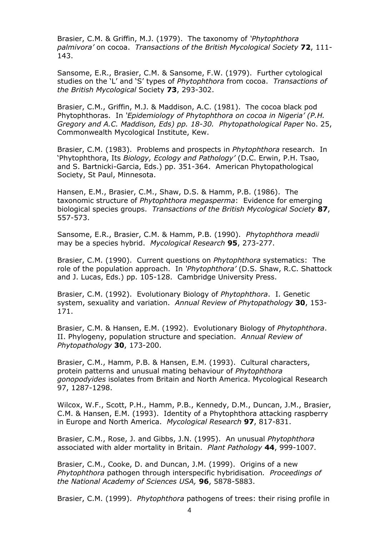Brasier, C.M. & Griffin, M.J. (1979). The taxonomy of *'Phytophthora palmivora'* on cocoa. *Transactions of the British Mycological Society* **72**, 111- 143.

Sansome, E.R., Brasier, C.M. & Sansome, F.W. (1979). Further cytological studies on the 'L' and 'S' types of *Phytophthora* from cocoa. *Transactions of the British Mycological* Society **73**, 293-302.

Brasier, C.M., Griffin, M.J. & Maddison, A.C. (1981). The cocoa black pod Phytophthoras. In *'Epidemiology of Phytophthora on cocoa in Nigeria' (P.H. Gregory and A.C. Maddison, Eds) pp. 18-30. Phytopathological Paper* No. 25, Commonwealth Mycological Institute, Kew.

Brasier, C.M. (1983). Problems and prospects in *Phytophthora* research. In 'Phytophthora, Its *Biology, Ecology and Pathology'* (D.C. Erwin, P.H. Tsao, and S. Bartnicki-Garcia, Eds.) pp. 351-364. American Phytopathological Society, St Paul, Minnesota.

Hansen, E.M., Brasier, C.M., Shaw, D.S. & Hamm, P.B. (1986). The taxonomic structure of *Phytophthora megasperma*: Evidence for emerging biological species groups. *Transactions of the British Mycological Society* **87**, 557-573.

Sansome, E.R., Brasier, C.M. & Hamm, P.B. (1990). *Phytophthora meadii* may be a species hybrid. *Mycological Research* **95**, 273-277.

Brasier, C.M. (1990). Current questions on *Phytophthora* systematics: The role of the population approach. In *'Phytophthora'* (D.S. Shaw, R.C. Shattock and J. Lucas, Eds.) pp. 105-128. Cambridge University Press.

Brasier, C.M. (1992). Evolutionary Biology of *Phytophthora*. I. Genetic system, sexuality and variation. *Annual Review of Phytopathology* **30**, 153- 171.

Brasier, C.M. & Hansen, E.M. (1992). Evolutionary Biology of *Phytophthora*. II. Phylogeny, population structure and speciation. *Annual Review of Phytopathology* **30**, 173-200.

Brasier, C.M., Hamm, P.B. & Hansen, E.M. (1993). Cultural characters, protein patterns and unusual mating behaviour of *Phytophthora gonopodyides* isolates from Britain and North America. Mycological Research 97, 1287-1298.

Wilcox, W.F., Scott, P.H., Hamm, P.B., Kennedy, D.M., Duncan, J.M., Brasier, C.M. & Hansen, E.M. (1993). Identity of a Phytophthora attacking raspberry in Europe and North America. *Mycological Research* **97**, 817-831.

Brasier, C.M., Rose, J. and Gibbs, J.N. (1995). An unusual *Phytophthora* associated with alder mortality in Britain. *Plant Pathology* **44**, 999-1007.

Brasier, C.M., Cooke, D. and Duncan, J.M. (1999). Origins of a new *Phytophthora* pathogen through interspecific hybridisation*. Proceedings of the National Academy of Sciences USA,* **96**, 5878-5883.

Brasier, C.M. (1999). *Phytophthora* pathogens of trees: their rising profile in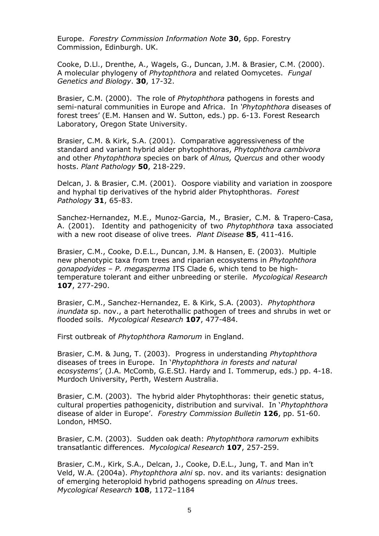Europe. *Forestry Commission Information Note* **30**, 6pp. Forestry Commission, Edinburgh. UK.

Cooke, D.Ll., Drenthe, A., Wagels, G., Duncan, J.M. & Brasier, C.M. (2000). A molecular phylogeny of *Phytophthora* and related Oomycetes. *Fungal Genetics and Biology*. **30**, 17-32.

Brasier, C.M. (2000). The role of *Phytophthora* pathogens in forests and semi-natural communities in Europe and Africa. In *'Phytophthora* diseases of forest trees' (E.M. Hansen and W. Sutton, eds.) pp. 6-13. Forest Research Laboratory, Oregon State University.

Brasier, C.M. & Kirk, S.A. (2001). Comparative aggressiveness of the standard and variant hybrid alder phytophthoras, *Phytophthora cambivora* and other *Phytophthora* species on bark of *Alnus, Quercus* and other woody hosts. *Plant Pathology* **50**, 218-229.

Delcan, J. & Brasier, C.M. (2001). Oospore viability and variation in zoospore and hyphal tip derivatives of the hybrid alder Phytophthoras. *Forest Pathology* **31**, 65-83.

Sanchez-Hernandez, M.E., Munoz-Garcia, M., Brasier, C.M. & Trapero-Casa, A. (2001). Identity and pathogenicity of two *Phytophthora* taxa associated with a new root disease of olive trees. *Plant Disease* **85**, 411-416.

Brasier, C.M., Cooke, D.E.L., Duncan, J.M. & Hansen, E. (2003). Multiple new phenotypic taxa from trees and riparian ecosystems in *Phytophthora gonapodyides – P. megasperma* ITS Clade 6, which tend to be hightemperature tolerant and either unbreeding or sterile. *Mycological Research* **107**, 277-290.

Brasier, C.M., Sanchez-Hernandez, E. & Kirk, S.A. (2003). *Phytophthora inundata* sp. nov., a part heterothallic pathogen of trees and shrubs in wet or flooded soils. *Mycological Research* **107**, 477-484.

First outbreak of *Phytophthora Ramorum* in England.

Brasier, C.M. & Jung, T. (2003). Progress in understanding *Phytophthora* diseases of trees in Europe. In '*Phytophthora in forests and natural ecosystems'*, (J.A. McComb, G.E.StJ. Hardy and I. Tommerup, eds.) pp. 4-18. Murdoch University, Perth, Western Australia.

Brasier, C.M. (2003). The hybrid alder Phytophthoras: their genetic status, cultural properties pathogenicity, distribution and survival. In '*Phytophthora* disease of alder in Europe'. *Forestry Commission Bulletin* **126**, pp. 51-60. London, HMSO.

Brasier, C.M. (2003). Sudden oak death: *Phytophthora ramorum* exhibits transatlantic differences. *Mycological Research* **107**, 257-259.

Brasier, C.M., Kirk, S.A., Delcan, J., Cooke, D.E.L., Jung, T. and Man in't Veld, W.A. (2004a). *Phytophthora alni* sp. nov. and its variants: designation of emerging heteroploid hybrid pathogens spreading on *Alnus* trees. *Mycological Research* **108**, 1172–1184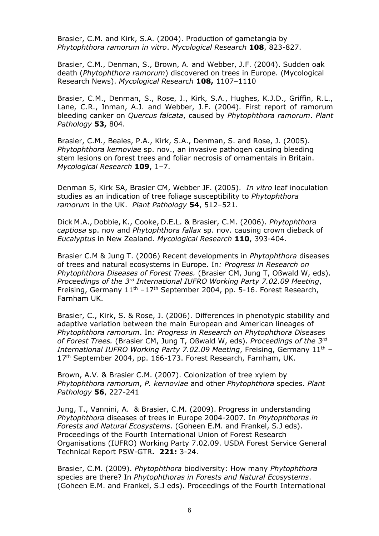Brasier, C.M. and Kirk, S.A. (2004). Production of gametangia by *Phytophthora ramorum in vitro*. *Mycological Research* **108**, 823-827.

Brasier, C.M., Denman, S., Brown, A. and Webber, J.F. (2004). Sudden oak death (*Phytophthora ramorum*) discovered on trees in Europe. (Mycological Research News). *Mycological Research* **108,** 1107–1110

Brasier, C.M., Denman, S., Rose, J., Kirk, S.A., Hughes, K.J.D., Griffin, R.L., Lane, C.R., Inman, A.J. and Webber, J.F. (2004). First report of ramorum bleeding canker on *Quercus falcata*, caused by *Phytophthora ramorum*. *Plant Pathology* **53,** 804.

Brasier, C.M., Beales, P.A., Kirk, S.A., Denman, S. and Rose, J. (2005). *Phytophthora kernoviae* sp. nov., an invasive pathogen causing bleeding stem lesions on forest trees and foliar necrosis of ornamentals in Britain. *Mycological Research* **109**, 1–7.

Denman S, Kirk SA, Brasier CM, Webber JF. (2005). *In vitro* leaf inoculation studies as an indication of tree foliage susceptibility to *Phytophthora ramorum* in the UK. *Plant Pathology* **54**, 512–521.

Dick M.A., Dobbie, K., Cooke, D.E.L. & Brasier, C.M. (2006). *Phytophthora captiosa* sp. nov and *Phytophthora fallax* sp. nov. causing crown dieback of *Eucalyptus* in New Zealand. *Mycological Research* **110**, 393-404.

Brasier C.M & Jung T. (2006) Recent developments in *Phytophthora* diseases of trees and natural ecosystems in Europe. In*: Progress in Research on Phytophthora Diseases of Forest Trees.* (Brasier CM, Jung T, Oßwald W, eds). *Proceedings of the 3rd International IUFRO Working Party 7.02.09 Meeting*, Freising, Germany  $11<sup>th</sup> -17<sup>th</sup>$  September 2004, pp. 5-16. Forest Research, Farnham UK.

Brasier, C., Kirk, S. & Rose, J. (2006). Differences in phenotypic stability and adaptive variation between the main European and American lineages of *Phytophthora ramorum*. In*: Progress in Research on Phytophthora Diseases of Forest Trees.* (Brasier CM, Jung T, Oßwald W, eds). *Proceedings of the 3rd International IUFRO Working Party 7.02.09 Meeting*, Freising, Germany 11th – 17<sup>th</sup> September 2004, pp. 166-173. Forest Research, Farnham, UK.

Brown, A.V. & Brasier C.M. (2007). Colonization of tree xylem by *Phytophthora ramorum*, *P. kernoviae* and other *Phytophthora* species. *Plant Pathology* **56**, 227-241

Jung, T., Vannini, A. & Brasier, C.M. (2009). Progress in understanding *Phytophthora* diseases of trees in Europe 2004-2007. In *Phytophthoras in Forests and Natural Ecosystems*. (Goheen E.M. and Frankel, S.J eds). Proceedings of the Fourth International Union of Forest Research Organisations (IUFRO) Working Party 7.02.09. USDA Forest Service General Technical Report PSW-GTR**. 221:** 3-24.

Brasier, C.M. (2009). *Phytophthora* biodiversity: How many *Phytophthora* species are there? In *Phytophthoras in Forests and Natural Ecosystems*. (Goheen E.M. and Frankel, S.J eds). Proceedings of the Fourth International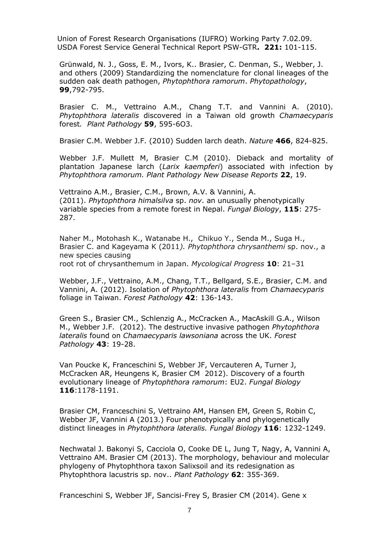Union of Forest Research Organisations (IUFRO) Working Party 7.02.09. USDA Forest Service General Technical Report PSW-GTR**. 221:** 101-115.

Grünwald, N. J., Goss, E. M., Ivors, K.. Brasier, C. Denman, S., Webber, J. and others (2009) Standardizing the nomenclature for clonal lineages of the sudden oak death pathogen, *Phytophthora ramorum*. *Phytopathology*, **99**,792-795.

Brasier C. M., Vettraino A.M., Chang T.T. and Vannini A. (2010). *Phytophthora lateralis* discovered in a Taiwan old growth *Chamaecyparis*  forest*. Plant Pathology* **59**, 595-6O3.

Brasier C.M. Webber J.F. (2010) Sudden larch death. *Nature* **466**, 824-825.

Webber J.F. Mullett M, Brasier C.M (2010). Dieback and mortality of plantation Japanese larch (*Larix kaempferi*) associated with infection by *Phytophthora ramorum. Plant Pathology New Disease Reports* **22**, 19.

Vettraino A.M., Brasier, C.M., Brown, A.V. & Vannini, A. (2011). *Phytophthora himalsilva* sp. *nov*. an unusually phenotypically variable species from a remote forest in Nepal. *Fungal Biology*, **115**: 275- 287.

Naher M., Motohash K., Watanabe H., Chikuo Y., Senda M., Suga H., Brasier C. and Kageyama K (2011*). Phytophthora chrysanthemi* sp. nov., a new species causing root rot of chrysanthemum in Japan. *Mycological Progress* **10**: 21–31

Webber, J.F., Vettraino, A.M., Chang, T.T., Bellgard, S.E., Brasier, C.M. and Vannini, A. (2012). Isolation of *Phytophthora lateralis* from *Chamaecyparis*  foliage in Taiwan. *Forest Pathology* **42**: 136-143.

Green S., Brasier CM., Schlenzig A., McCracken A., MacAskill G.A., Wilson M., Webber J.F. (2012). The destructive invasive pathogen *Phytophthora lateralis* found on *Chamaecyparis lawsoniana* across the UK. *Forest Pathology* **43**: 19-28.

Van Poucke K, Franceschini S, Webber JF, Vercauteren A, Turner J, McCracken AR, Heungens K, Brasier CM 2012). Discovery of a fourth evolutionary lineage of *Phytophthora ramorum*: EU2. *Fungal Biology* **116**:1178-1191.

Brasier CM, Franceschini S, Vettraino AM, Hansen EM, Green S, Robin C, Webber JF, Vannini A (2013.) Four phenotypically and phylogenetically distinct lineages in *Phytophthora lateralis. Fungal Biology* **116**: 1232-1249.

Nechwatal J. Bakonyi S, Cacciola O, Cooke DE L, Jung T, Nagy, A, Vannini A, Vettraino AM. Brasier CM (2013). The morphology, behaviour and molecular phylogeny of Phytophthora taxon Salixsoil and its redesignation as Phytophthora lacustris sp. nov.. *Plant Pathology* **62**: 355-369.

Franceschini S, Webber JF, Sancisi-Frey S, Brasier CM (2014). Gene x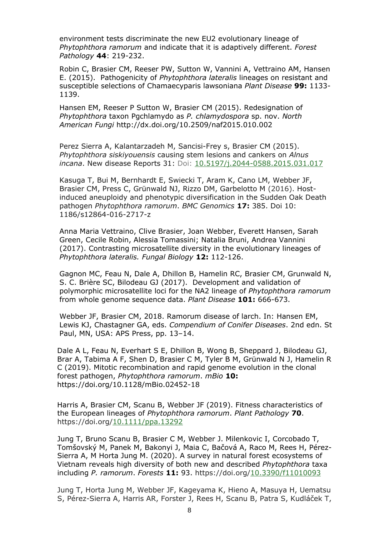environment tests discriminate the new EU2 evolutionary lineage of *Phytophthora ramorum* and indicate that it is adaptively different. *Forest Pathology* **44**: 219-232.

[Robin C,](http://forestphytophthoras.org/references?f%5bauthor%5d=516) [Brasier CM](http://forestphytophthoras.org/references?f%5bauthor%5d=1127), [Reeser PW,](http://forestphytophthoras.org/references?f%5bauthor%5d=1128) [Sutton W,](http://forestphytophthoras.org/references?f%5bauthor%5d=248) [Vannini A,](http://forestphytophthoras.org/references?f%5bauthor%5d=1129) [Vettraino AM,](http://forestphytophthoras.org/references?f%5bauthor%5d=283) [Hansen](http://forestphytophthoras.org/references?f%5bauthor%5d=1044)  [E.](http://forestphytophthoras.org/references?f%5bauthor%5d=1044) (2015). Pathogenicity of *Phytophthora lateralis* lineages on resistant and susceptible selections of Chamaecyparis lawsoniana *Plant Disease* **99:** 1133- 1139.

Hansen EM, Reeser P Sutton W, Brasier CM (2015). Redesignation of *Phytophthora* taxon Pgchlamydo as *P. chlamydospora* sp. nov. *North American Fungi* http://dx.doi.org/10.2509/naf2015.010.002

 Perez Sierra A, Kalantarzadeh M, Sancisi-Frey s, Brasier CM (2015). *Phytophthora siskiyouensis* causing stem lesions and cankers on *Alnus incana*. New disease Reports 31: Doi: [10.5197/j.2044-0588.2015.031.017](http://dx.doi.org/10.5197/j.2044-0588.2015.031.017)

Kasuga T, Bui M, Bernhardt E, Swiecki T, Aram K, Cano LM, Webber JF, Brasier CM, Press C, Grünwald NJ, Rizzo DM, Garbelotto M (2016). Hostinduced aneuploidy and phenotypic diversification in the Sudden Oak Death pathogen *Phytophthora ramorum*. *BMC Genomics* **17:** 385. Doi 10: 1186/s12864-016-2717-z

Anna Maria Vettraino, Clive Brasier, Joan Webber, Everett Hansen, Sarah Green, Cecile Robin, Alessia Tomassini; Natalia Bruni, Andrea Vannini (2017). Contrasting microsatellite diversity in the evolutionary lineages of *Phytophthora lateralis. Fungal Biology* **12:** 112-126.

Gagnon MC, Feau N, Dale A, Dhillon B, Hamelin RC, Brasier CM, Grunwald N, S. C. Brière SC, Bilodeau GJ (2017). Development and validation of polymorphic microsatellite loci for the NA2 lineage of *Phytophthora ramorum* from whole genome sequence data. *Plant Disease* **101:** 666-673.

Webber JF, Brasier CM, 2018. Ramorum disease of larch. In: Hansen EM, Lewis KJ, Chastagner GA, eds. *Compendium of Conifer Diseases*. 2nd edn. St Paul, MN, USA: APS Press, pp. 13–14.

Dale A L, Feau N, Everhart S E, Dhillon B, Wong B, Sheppard J, Bilodeau GJ, Brar A, Tabima A F, Shen D, Brasier C M, Tyler B M, Grünwald N J, Hamelin R C (2019). Mitotic recombination and rapid genome evolution in the clonal forest pathogen, *Phytophthora ramorum*. *mBio* **10:** https://doi.org/10.1128/mBio.02452-18

Harris A, Brasier CM, Scanu B, Webber JF (2019). Fitness characteristics of the European lineages of *Phytophthora ramorum*. *Plant Pathology* **70**. https://doi.org[/10.1111/ppa.13292](http://dx.doi.org/10.1111/ppa.13292)

Jung T, Bruno Scanu B, Brasier C M, Webber J. Milenkovic I, Corcobado T, Tomšovský M, Panek M, Bakonyi J, Maia C, Bačová A, Raco M, Rees H, Pérez-Sierra A, M Horta Jung M. (2020). A survey in natural forest ecosystems of Vietnam reveals high diversity of both new and described *Phytophthora* taxa including *P. ramorum*. *Forests* **11:** 93. https://doi.org[/10.3390/f11010093](http://dx.doi.org/10.3390/f11010093)

Jung T, Horta Jung M, Webber JF, Kageyama K, Hieno A, Masuya H, Uematsu S, Pérez-Sierra A, Harris AR, Forster J, Rees H, Scanu B, Patra S, Kudláček T,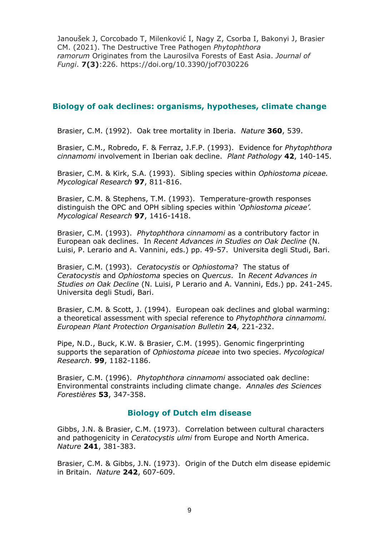Janoušek J, Corcobado T, Milenković I, Nagy Z, Csorba I, Bakonyi J, Brasier CM. (2021). The Destructive Tree Pathogen *Phytophthora ramorum* Originates from the Laurosilva Forests of East Asia. *Journal of Fungi*. **7(3)**:226. https://doi.org/10.3390/jof7030226

# **Biology of oak declines: organisms, hypotheses, climate change**

Brasier, C.M. (1992). Oak tree mortality in Iberia. *Nature* **360**, 539.

Brasier, C.M., Robredo, F. & Ferraz, J.F.P. (1993). Evidence for *Phytophthora cinnamomi* involvement in Iberian oak decline. *Plant Pathology* **42**, 140-145.

Brasier, C.M. & Kirk, S.A. (1993). Sibling species within *Ophiostoma piceae. Mycological Research* **97**, 811-816.

Brasier, C.M. & Stephens, T.M. (1993). Temperature-growth responses distinguish the OPC and OPH sibling species within *'Ophiostoma piceae'. Mycological Research* **97**, 1416-1418.

Brasier, C.M. (1993). *Phytophthora cinnamomi* as a contributory factor in European oak declines. In *Recent Advances in Studies on Oak Decline* (N. Luisi, P. Lerario and A. Vannini, eds.) pp. 49-57. Universita degli Studi, Bari.

Brasier, C.M. (1993). *Ceratocystis* or *Ophiostoma*? The status of *Ceratocystis* and *Ophiostoma* species on *Quercus*. In *Recent Advances in Studies on Oak Decline* (N. Luisi, P Lerario and A. Vannini, Eds.) pp. 241-245. Universita degli Studi, Bari.

Brasier, C.M. & Scott, J. (1994). European oak declines and global warming: a theoretical assessment with special reference to *Phytophthora cinnamomi. European Plant Protection Organisation Bulletin* **24**, 221-232.

Pipe, N.D., Buck, K.W. & Brasier, C.M. (1995). Genomic fingerprinting supports the separation of *Ophiostoma piceae* into two species. *Mycological Research*. **99**, 1182-1186.

Brasier, C.M. (1996). *Phytophthora cinnamomi* associated oak decline: Environmental constraints including climate change. *Annales des Sciences Forestières* **53**, 347-358.

# **Biology of Dutch elm disease**

Gibbs, J.N. & Brasier, C.M. (1973). Correlation between cultural characters and pathogenicity in *Ceratocystis ulmi* from Europe and North America. *Nature* **241**, 381-383.

Brasier, C.M. & Gibbs, J.N. (1973). Origin of the Dutch elm disease epidemic in Britain. *Nature* **242**, 607-609.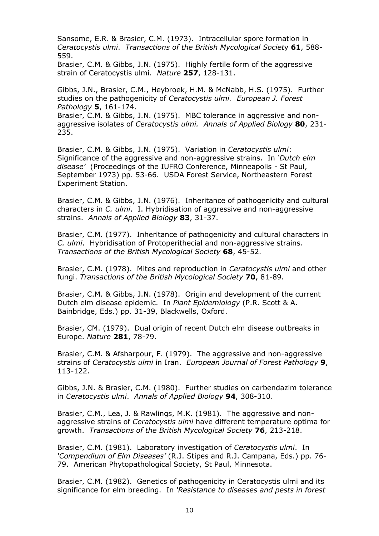Sansome, E.R. & Brasier, C.M. (1973). Intracellular spore formation in *Ceratocystis ulmi*. *Transactions of the British Mycological Societ*y **61**, 588- 559.

Brasier, C.M. & Gibbs, J.N. (1975). Highly fertile form of the aggressive strain of Ceratocystis ulmi. *Nature* **257**, 128-131.

Gibbs, J.N., Brasier, C.M., Heybroek, H.M. & McNabb, H.S. (1975). Further studies on the pathogenicity of *Ceratocystis ulmi. European J. Forest Pathology* **5**, 161-174.

Brasier, C.M. & Gibbs, J.N. (1975). MBC tolerance in aggressive and nonaggressive isolates of *Ceratocystis ulmi. Annals of Applied Biology* **80**, 231- 235.

Brasier, C.M. & Gibbs, J.N. (1975). Variation in *Ceratocystis ulmi*: Significance of the aggressive and non-aggressive strains. In *'Dutch elm disease'* (Proceedings of the IUFRO Conference, Minneapolis - St Paul, September 1973) pp. 53-66. USDA Forest Service, Northeastern Forest Experiment Station.

Brasier, C.M. & Gibbs, J.N. (1976). Inheritance of pathogenicity and cultural characters in *C. ulmi*. I. Hybridisation of aggressive and non-aggressive strains. *Annals of Applied Biology* **83**, 31-37.

Brasier, C.M. (1977). Inheritance of pathogenicity and cultural characters in *C. ulmi*. Hybridisation of Protoperithecial and non-aggressive strains*. Transactions of the British Mycological Society* **68**, 45-52.

Brasier, C.M. (1978). Mites and reproduction in *Ceratocystis ulmi* and other fungi. *Transactions of the British Mycological Society* **70**, 81-89.

Brasier, C.M. & Gibbs, J.N. (1978). Origin and development of the current Dutch elm disease epidemic. In *Plant Epidemiology* (P.R. Scott & A. Bainbridge, Eds.) pp. 31-39, Blackwells, Oxford.

Brasier, CM. (1979). Dual origin of recent Dutch elm disease outbreaks in Europe. *Nature* **281**, 78-79.

Brasier, C.M. & Afsharpour, F. (1979). The aggressive and non-aggressive strains of *Ceratocystis ulmi* in Iran. *European Journal of Forest Pathology* **9**, 113-122.

Gibbs, J.N. & Brasier, C.M. (1980). Further studies on carbendazim tolerance in *Ceratocystis ulmi*. *Annals of Applied Biology* **94**, 308-310.

Brasier, C.M., Lea, J. & Rawlings, M.K. (1981). The aggressive and nonaggressive strains of *Ceratocystis ulmi* have different temperature optima for growth. *Transactions of the British Mycological Society* **76**, 213-218.

Brasier, C.M. (1981). Laboratory investigation of *Ceratocystis ulmi*. In *'Compendium of Elm Diseases'* (R.J. Stipes and R.J. Campana, Eds.) pp. 76- 79. American Phytopathological Society, St Paul, Minnesota.

Brasier, C.M. (1982). Genetics of pathogenicity in Ceratocystis ulmi and its significance for elm breeding. In *'Resistance to diseases and pests in forest*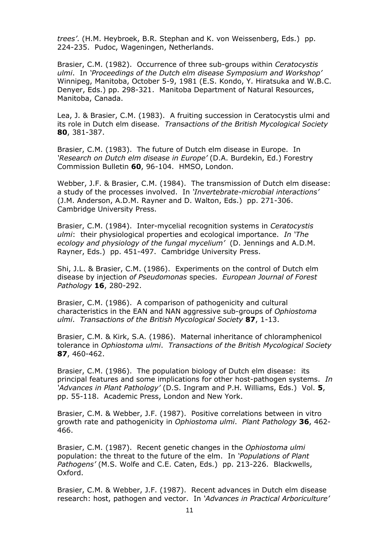*trees'*. (H.M. Heybroek, B.R. Stephan and K. von Weissenberg, Eds.) pp. 224-235. Pudoc, Wageningen, Netherlands.

Brasier, C.M. (1982). Occurrence of three sub-groups within *Ceratocystis ulmi*. In *'Proceedings of the Dutch elm disease Symposium and Workshop'* Winnipeg, Manitoba, October 5-9, 1981 (E.S. Kondo, Y. Hiratsuka and W.B.C. Denyer, Eds.) pp. 298-321. Manitoba Department of Natural Resources, Manitoba, Canada.

Lea, J. & Brasier, C.M. (1983). A fruiting succession in Ceratocystis ulmi and its role in Dutch elm disease. *Transactions of the British Mycological Society* **80**, 381-387.

Brasier, C.M. (1983). The future of Dutch elm disease in Europe. In *'Research on Dutch elm disease in Europe'* (D.A. Burdekin, Ed.) Forestry Commission Bulletin **60**, 96-104. HMSO, London.

Webber, J.F. & Brasier, C.M. (1984). The transmission of Dutch elm disease: a study of the processes involved. In *'Invertebrate-microbial interactions'* (J.M. Anderson, A.D.M. Rayner and D. Walton, Eds.) pp. 271-306. Cambridge University Press.

Brasier, C.M. (1984). Inter-mycelial recognition systems in *Ceratocystis ulmi*: their physiological properties and ecological importance. *In 'The ecology and physiology of the fungal mycelium'* (D. Jennings and A.D.M. Rayner, Eds.) pp. 451-497. Cambridge University Press.

Shi, J.L. & Brasier, C.M. (1986). Experiments on the control of Dutch elm disease by injection *of Pseudomonas* species. *European Journal of Forest Pathology* **16**, 280-292.

Brasier, C.M. (1986). A comparison of pathogenicity and cultural characteristics in the EAN and NAN aggressive sub-groups of *Ophiostoma ulmi*. *Transactions of the British Mycological Society* **87**, 1-13.

Brasier, C.M. & Kirk, S.A. (1986). Maternal inheritance of chloramphenicol tolerance in *Ophiostoma ulmi*. *Transactions of the British Mycological Society* **87**, 460-462.

Brasier, C.M. (1986). The population biology of Dutch elm disease: its principal features and some implications for other host-pathogen systems. *In 'Advances in Plant Pathology'* (D.S. Ingram and P.H. Williams, Eds.) Vol. **5**, pp. 55-118. Academic Press, London and New York.

Brasier, C.M. & Webber, J.F. (1987). Positive correlations between in vitro growth rate and pathogenicity in *Ophiostoma ulmi*. *Plant Pathology* **36**, 462- 466.

Brasier, C.M. (1987). Recent genetic changes in the *Ophiostoma ulmi* population: the threat to the future of the elm. In *'Populations of Plant Pathogens'* (M.S. Wolfe and C.E. Caten, Eds.) pp. 213-226. Blackwells, Oxford.

Brasier, C.M. & Webber, J.F. (1987). Recent advances in Dutch elm disease research: host, pathogen and vector. In *'Advances in Practical Arboriculture'*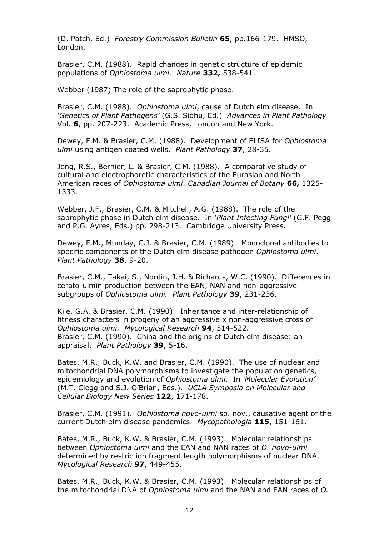(D. Patch, Ed.) *Forestry Commission Bulletin* **65**, pp.166-179. HMSO, London.

Brasier, C.M. (1988). Rapid changes in genetic structure of epidemic populations of *Ophiostoma ulmi. Nature* **332,** 538-541.

Webber (1987) The role of the saprophytic phase.

Brasier, C.M. (1988). *Ophiostoma ulmi*, cause of Dutch elm disease. In *'Genetics of Plant Pathogens'* (G.S. Sidhu, Ed.) *Advances in Plant Pathology* Vol. **6**, pp. 207-223. Academic Press, London and New York.

Dewey, F.M. & Brasier, C.M. (1988). Development of ELISA for *Ophiostoma ulmi* using antigen coated wells. *Plant Pathology* **37**, 28-35.

Jeng, R.S., Bernier, L. & Brasier, C.M. (1988). A comparative study of cultural and electrophoretic characteristics of the Eurasian and North American races of *Ophiostoma ulmi*. *Canadian Journal of Botany* **66,** 1325- 1333.

Webber, J.F., Brasier, C.M. & Mitchell, A.G. (1988). The role of the saprophytic phase in Dutch elm disease. In *'Plant Infecting Fungi'* (G.F. Pegg and P.G. Ayres, Eds.) pp. 298-213. Cambridge University Press.

Dewey, F.M., Munday, C.J. & Brasier, C.M. (1989). Monoclonal antibodies to specific components of the Dutch elm disease pathogen *Ophiostoma ulmi*. *Plant Pathology* **38**, 9-20.

Brasier, C.M., Takai, S., Nordin, J.H. & Richards, W.C. (1990). Differences in cerato-ulmin production between the EAN, NAN and non-aggressive subgroups of *Ophiostoma ulmi. Plant Pathology* **39**, 231-236.

Kile, G.A. & Brasier, C.M. (1990). Inheritance and inter-relationship of fitness characters in progeny of an aggressive x non-aggressive cross of *Ophiostoma ulmi. Mycological Research* **94**, 514-522. Brasier, C.M. (1990). China and the origins of Dutch elm disease: an appraisal. *Plant Pathology* **39**, 5-16.

Bates, M.R., Buck, K.W. and Brasier, C.M. (1990). The use of nuclear and mitochondrial DNA polymorphisms to investigate the population genetics, epidemiology and evolution of *Ophiostoma ulmi*. In *'Molecular Evolution'* (M.T. Clegg and S.J. O'Brian, Eds.). *UCLA Symposia on Molecular and Cellular Biology New Series* **122**, 171-178.

Brasier, C.M. (1991). *Ophiostoma novo-ulmi* sp. nov., causative agent of the current Dutch elm disease pandemics. *Mycopathologia* **115**, 151-161.

Bates, M.R., Buck, K.W. & Brasier, C.M. (1993). Molecular relationships between *Ophiostoma ulmi* and the EAN and NAN races of *O. novo-ulmi* determined by restriction fragment length polymorphisms of nuclear DNA. *Mycological Research* **97**, 449-455.

Bates, M.R., Buck, K.W. & Brasier, C.M. (1993). Molecular relationships of the mitochondrial DNA of *Ophiostoma ulmi* and the NAN and EAN races of *O.*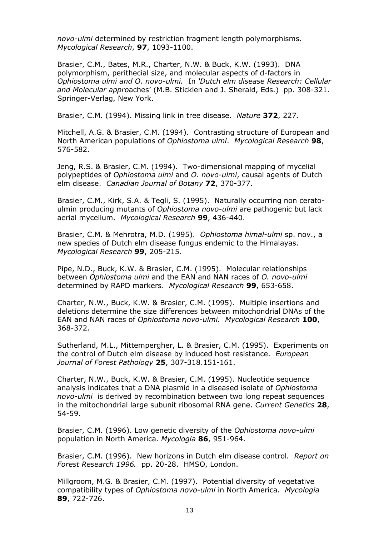*novo-ulmi* determined by restriction fragment length polymorphisms. *Mycological Research*, **97**, 1093-1100.

Brasier, C.M., Bates, M.R., Charter, N.W. & Buck, K.W. (1993). DNA polymorphism, perithecial size, and molecular aspects of d-factors in *Ophiostoma ulmi and O. novo-ulmi.* In *'Dutch elm disease Research: Cellular and Molecular appro*aches' (M.B. Sticklen and J. Sherald, Eds.) pp. 308-321. Springer-Verlag, New York.

Brasier, C.M. (1994). Missing link in tree disease. *Nature* **372**, 227.

Mitchell, A.G. & Brasier, C.M. (1994). Contrasting structure of European and North American populations of *Ophiostoma ulmi*. *Mycological Research* **98**, 576-582.

Jeng, R.S. & Brasier, C.M. (1994). Two-dimensional mapping of mycelial polypeptides of *Ophiostoma ulmi* and *O. novo-ulmi*, causal agents of Dutch elm disease. *Canadian Journal of Botany* **72**, 370-377.

Brasier, C.M., Kirk, S.A. & Tegli, S. (1995). Naturally occurring non ceratoulmin producing mutants of *Ophiostoma novo-ulmi* are pathogenic but lack aerial mycelium. *Mycological Research* **99**, 436-440.

Brasier, C.M. & Mehrotra, M.D. (1995). *Ophiostoma himal-ulmi* sp. nov., a new species of Dutch elm disease fungus endemic to the Himalayas. *Mycological Research* **99**, 205-215.

Pipe, N.D., Buck, K.W. & Brasier, C.M. (1995). Molecular relationships between *Ophiostoma ulmi* and the EAN and NAN races of *O. novo-ulmi* determined by RAPD markers. *Mycological Research* **99**, 653-658.

Charter, N.W., Buck, K.W. & Brasier, C.M. (1995). Multiple insertions and deletions determine the size differences between mitochondrial DNAs of the EAN and NAN races of *Ophiostoma novo-ulmi. Mycological Research* **100**, 368-372.

Sutherland, M.L., Mittempergher, L. & Brasier, C.M. (1995). Experiments on the control of Dutch elm disease by induced host resistance. *European Journal of Forest Pathology* **25**, 307-318.151-161.

Charter, N.W., Buck, K.W. & Brasier, C.M. (1995). Nucleotide sequence analysis indicates that a DNA plasmid in a diseased isolate of *Ophiostoma novo-ulmi* is derived by recombination between two long repeat sequences in the mitochondrial large subunit ribosomal RNA gene. *Current Genetics* **28**, 54-59.

Brasier, C.M. (1996). Low genetic diversity of the *Ophiostoma novo-ulmi* population in North America. *Mycologia* **86**, 951-964.

Brasier, C.M. (1996). New horizons in Dutch elm disease control*. Report on Forest Research 1996.* pp. 20-28. HMSO, London.

Millgroom, M.G. & Brasier, C.M. (1997). Potential diversity of vegetative compatibility types of *Ophiostoma novo-ulmi* in North America. *Mycologia* **89**, 722-726.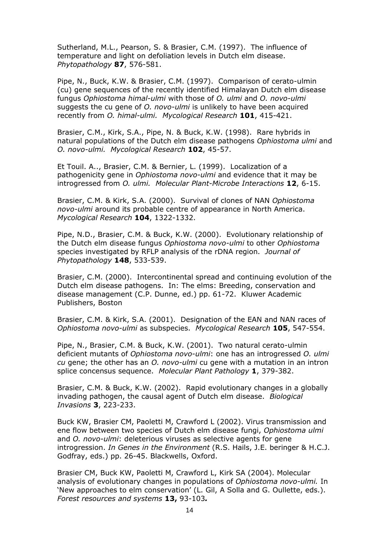Sutherland, M.L., Pearson, S. & Brasier, C.M. (1997). The influence of temperature and light on defoliation levels in Dutch elm disease. *Phytopathology* **87**, 576-581.

Pipe, N., Buck, K.W. & Brasier, C.M. (1997). Comparison of cerato-ulmin (cu) gene sequences of the recently identified Himalayan Dutch elm disease fungus *Ophiostoma himal-ulmi* with those of *O. ulmi* and *O. novo-ulmi* suggests the cu gene of *O. novo-ulmi* is unlikely to have been acquired recently from *O. himal-ulmi. Mycological Research* **101**, 415-421.

Brasier, C.M., Kirk, S.A., Pipe, N. & Buck, K.W. (1998). Rare hybrids in natural populations of the Dutch elm disease pathogens *Ophiostoma ulmi* and *O. novo-ulmi. Mycological Research* **102**, 45-57.

Et Touil. A.., Brasier, C.M. & Bernier, L. (1999). Localization of a pathogenicity gene in *Ophiostoma novo-ulmi* and evidence that it may be introgressed from *O. ulmi. Molecular Plant-Microbe Interactions* **12**, 6-15.

Brasier, C.M. & Kirk, S.A. (2000). Survival of clones of NAN *Ophiostoma novo-ulmi* around its probable centre of appearance in North America. *Mycological Research* **104**, 1322-1332.

Pipe, N.D., Brasier, C.M. & Buck, K.W. (2000). Evolutionary relationship of the Dutch elm disease fungus *Ophiostoma novo-ulmi* to other *Ophiostoma* species investigated by RFLP analysis of the rDNA region. *Journal of Phytopathology* **148**, 533-539.

Brasier, C.M. (2000). Intercontinental spread and continuing evolution of the Dutch elm disease pathogens. In: The elms: Breeding, conservation and disease management (C.P. Dunne, ed.) pp. 61-72. Kluwer Academic Publishers, Boston

Brasier, C.M. & Kirk, S.A. (2001). Designation of the EAN and NAN races of *Ophiostoma novo-ulmi* as subspecies. *Mycological Research* **105**, 547-554.

Pipe, N., Brasier, C.M. & Buck, K.W. (2001). Two natural cerato-ulmin deficient mutants of *Ophiostoma novo-ulmi*: one has an introgressed *O. ulmi cu* gene; the other has an *O. novo-ulmi* cu gene with a mutation in an intron splice concensus sequence. *Molecular Plant Pathology* **1**, 379-382.

Brasier, C.M. & Buck, K.W. (2002). Rapid evolutionary changes in a globally invading pathogen, the causal agent of Dutch elm disease. *Biological Invasions* **3**, 223-233.

Buck KW, Brasier CM, Paoletti M, Crawford L (2002). Virus transmission and ene flow between two species of Dutch elm disease fungi, *Ophiostoma ulmi* and *O. novo-ulmi*: deleterious viruses as selective agents for gene introgression. *In Genes in the Environment* (R.S. Hails, J.E. beringer & H.C.J. Godfray, eds.) pp. 26-45. Blackwells, Oxford.

Brasier CM, Buck KW, Paoletti M, Crawford L, Kirk SA (2004). Molecular analysis of evolutionary changes in populations of *Ophiostoma novo-ulmi.* In 'New approaches to elm conservation' (L. Gil, A Solla and G. Oullette, eds.). *Forest resources and systems* **13,** 93-103*.*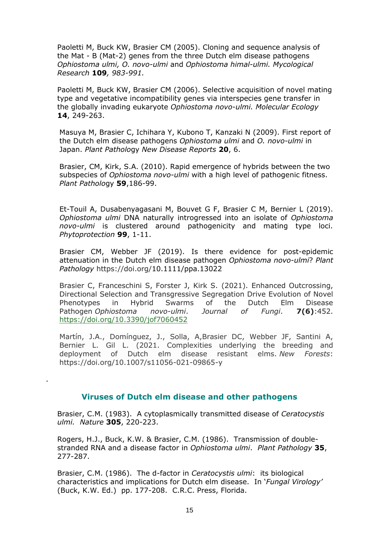Paoletti M, Buck KW, Brasier CM (2005). Cloning and sequence analysis of the Mat - B (Mat-2) genes from the three Dutch elm disease pathogens *Ophiostoma ulmi, O. novo-ulmi* and *Ophiostoma himal-ulmi. Mycological Research* **109***, 983-991.* 

Paoletti M, Buck KW, Brasier CM (2006). Selective acquisition of novel mating type and vegetative incompatibility genes via interspecies gene transfer in the globally invading eukaryote *Ophiostoma novo-ulmi. Molecular Ecology*  **14**, 249-263.

Masuya M, Brasier C, Ichihara Y, Kubono T, Kanzaki N (2009). First report of the Dutch elm disease pathogens *Ophiostoma ulmi* and *O. novo-ulmi* in Japan. *Plant Patholo*gy *New Disease Reports* **20**, 6.

Brasier, CM, Kirk, S.A. (2010). Rapid emergence of hybrids between the two subspecies of *Ophiostoma novo-ulmi* with a high level of pathogenic fitness. *Plant Patholo*gy **59**,186-99.

Et-Touil A, Dusabenyagasani M, Bouvet G F, Brasier C M, Bernier L (2019). *Ophiostoma ulmi* DNA naturally introgressed into an isolate of *Ophiostoma novo-ulmi* is clustered around pathogenicity and mating type loci. *Phytoprotection* **99**, 1-11.

Brasier CM, Webber JF (2019). Is there evidence for post-epidemic attenuation in the Dutch elm disease pathogen *Ophiostoma novo-ulmi*? *Plant Pathology* https://doi.org/10.1111/ppa.13022

Brasier C, Franceschini S, Forster J, Kirk S. (2021). Enhanced Outcrossing, Directional Selection and Transgressive Segregation Drive Evolution of Novel Phenotypes in Hybrid Swarms of the Dutch Elm Disease Pathogen *Ophiostoma novo-ulmi*. *Journal of Fungi*. **7(6)**:452. <https://doi.org/10.3390/jof7060452>

Martín, J.A., Domínguez, J., Solla, A,Brasier DC, Webber JF, Santini A, Bernier L. Gil L. (2021. Complexities underlying the breeding and deployment of Dutch elm disease resistant elms. *New Forests*: https://doi.org/10.1007/s11056-021-09865-y

#### **Viruses of Dutch elm disease and other pathogens**

.

Brasier, C.M. (1983). A cytoplasmically transmitted disease of *Ceratocystis ulmi. Nature* **305**, 220-223.

Rogers, H.J., Buck, K.W. & Brasier, C.M. (1986). Transmission of doublestranded RNA and a disease factor in *Ophiostoma ulmi*. *Plant Pathology* **35**, 277-287.

Brasier, C.M. (1986). The d-factor in *Ceratocystis ulmi*: its biological characteristics and implications for Dutch elm disease. In '*Fungal Virology'* (Buck, K.W. Ed.) pp. 177-208. C.R.C. Press, Florida.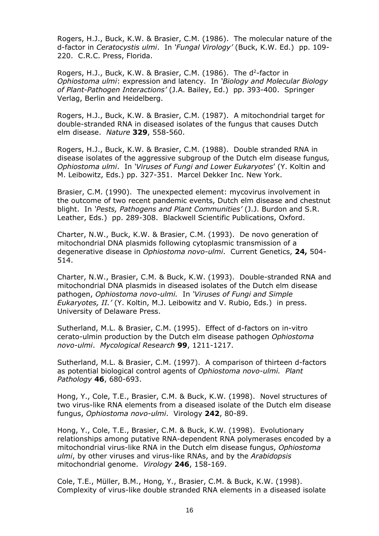Rogers, H.J., Buck, K.W. & Brasier, C.M. (1986). The molecular nature of the d-factor in *Ceratocystis ulmi*. In *'Fungal Virology'* (Buck, K.W. Ed.) pp. 109- 220. C.R.C. Press, Florida.

Rogers, H.J., Buck, K.W. & Brasier, C.M. (1986). The d<sup>2</sup>-factor in *Ophiostoma ulmi*: expression and latency. In *'Biology and Molecular Biology of Plant-Pathogen Interactions'* (J.A. Bailey, Ed.) pp. 393-400. Springer Verlag, Berlin and Heidelberg.

Rogers, H.J., Buck, K.W. & Brasier, C.M. (1987). A mitochondrial target for double-stranded RNA in diseased isolates of the fungus that causes Dutch elm disease. *Nature* **329**, 558-560.

Rogers, H.J., Buck, K.W. & Brasier, C.M. (1988). Double stranded RNA in disease isolates of the aggressive subgroup of the Dutch elm disease fungus*, Ophiostoma ulmi*. In *'Viruses of Fungi and Lower Eukaryotes*' (Y. Koltin and M. Leibowitz, Eds.) pp. 327-351. Marcel Dekker Inc. New York.

Brasier, C.M. (1990). The unexpected element: mycovirus involvement in the outcome of two recent pandemic events, Dutch elm disease and chestnut blight. In *'Pests, Pathogens and Plant Communities'* (J.J. Burdon and S.R. Leather, Eds.) pp. 289-308. Blackwell Scientific Publications, Oxford.

Charter, N.W., Buck, K.W. & Brasier, C.M. (1993). De novo generation of mitochondrial DNA plasmids following cytoplasmic transmission of a degenerative disease in *Ophiostoma novo-ulmi*. Current Genetics, **24,** 504- 514.

Charter, N.W., Brasier, C.M. & Buck, K.W. (1993). Double-stranded RNA and mitochondrial DNA plasmids in diseased isolates of the Dutch elm disease pathogen, *Ophiostoma novo-ulmi.* In *'Viruses of Fungi and Simple Eukaryotes, II.'* (Y. Koltin, M.J. Leibowitz and V. Rubio, Eds.) in press. University of Delaware Press.

Sutherland, M.L. & Brasier, C.M. (1995). Effect of d-factors on in-vitro cerato-ulmin production by the Dutch elm disease pathogen *Ophiostoma novo-ulmi*. *Mycological Research* **99**, 1211-1217.

Sutherland, M.L. & Brasier, C.M. (1997). A comparison of thirteen d-factors as potential biological control agents of *Ophiostoma novo-ulmi. Plant Pathology* **46**, 680-693.

Hong, Y., Cole, T.E., Brasier, C.M. & Buck, K.W. (1998). Novel structures of two virus-like RNA elements from a diseased isolate of the Dutch elm disease fungus, *Ophiostoma novo-ulmi*. Virology **242**, 80-89.

Hong, Y., Cole, T.E., Brasier, C.M. & Buck, K.W. (1998). Evolutionary relationships among putative RNA-dependent RNA polymerases encoded by a mitochondrial virus-like RNA in the Dutch elm disease fungus, *Ophiostoma ulmi*, by other viruses and virus-like RNAs, and by the *Arabidopsis* mitochondrial genome. *Virology* **246**, 158-169.

Cole, T.E., Müller, B.M., Hong, Y., Brasier, C.M. & Buck, K.W. (1998). Complexity of virus-like double stranded RNA elements in a diseased isolate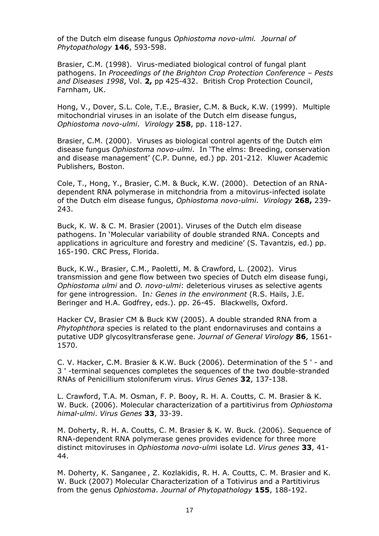of the Dutch elm disease fungus *Ophiostoma novo-ulmi. Journal of Phytopathology* **146**, 593-598.

Brasier, C.M. (1998). Virus-mediated biological control of fungal plant pathogens. In *Proceedings of the Brighton Crop Protection Conference – Pests and Diseases 1998*, Vol. **2,** pp 425-432. British Crop Protection Council, Farnham, UK.

Hong, V., Dover, S.L. Cole, T.E., Brasier, C.M. & Buck, K.W. (1999). Multiple mitochondrial viruses in an isolate of the Dutch elm disease fungus, *Ophiostoma novo-ulmi*. *Virology* **258**, pp. 118-127.

Brasier, C.M. (2000). Viruses as biological control agents of the Dutch elm disease fungus *Ophiostoma novo-ulmi*. In 'The elms: Breeding, conservation and disease management' (C.P. Dunne, ed.) pp. 201-212. Kluwer Academic Publishers, Boston.

Cole, T., Hong, Y., Brasier, C.M. & Buck, K.W. (2000). Detection of an RNAdependent RNA polymerase in mitchondria from a mitovirus-infected isolate of the Dutch elm disease fungus, *Ophiostoma novo-ulmi*. *Virology* **268,** 239- 243.

Buck, K. W. & C. M. Brasier (2001). Viruses of the Dutch elm disease pathogens. In 'Molecular variability of double stranded RNA. Concepts and applications in agriculture and forestry and medicine' (S. Tavantzis, ed.) pp. 165-190. CRC Press, Florida.

Buck, K.W., Brasier, C.M., Paoletti, M. & Crawford, L. (2002). Virus transmission and gene flow between two species of Dutch elm disease fungi, *Ophiostoma ulmi* and *O. novo-ulmi*: deleterious viruses as selective agents for gene introgression. In*: Genes in the environment* (R.S. Hails, J.E. Beringer and H.A. Godfrey, eds.). pp. 26-45. Blackwells, Oxford.

Hacker CV, Brasier CM & Buck KW (2005). A double stranded RNA from a *Phytophthora* species is related to the plant endornaviruses and contains a putative UDP glycosyltransferase gene. *Journal of General Virology* **86**, 1561- 1570.

C. V. Hacker, C.M. Brasier & K.W. Buck (2006). Determination of the 5 ' - and 3 ' -terminal sequences completes the sequences of the two double-stranded RNAs of Penicillium stoloniferum virus. *Virus Genes* **32**, 137-138.

L. Crawford, T.A. M. Osman, F. P. Booy, R. H. A. Coutts, C. M. Brasier & K. W. Buck. (2006). Molecular characterization of a partitivirus from *Ophiostoma himal-ulmi*. *Virus Genes* **33**, 33-39.

M. Doherty, R. H. A. Coutts, C. M. Brasier & K. W. Buck. (2006). Sequence of RNA-dependent RNA polymerase genes provides evidence for three more distinct mitoviruses in *Ophiostoma novo-ulm*i isolate Ld. *Virus genes* **33**, 41- 44.

M. Doherty, K. Sanganee , Z. Kozlakidis, R. H. A. Coutts, C. M. Brasier and K. W. Buck (2007) Molecular Characterization of a Totivirus and a Partitivirus from the genus *Ophiostoma*. *Journal of Phytopathology* **155**, 188-192.